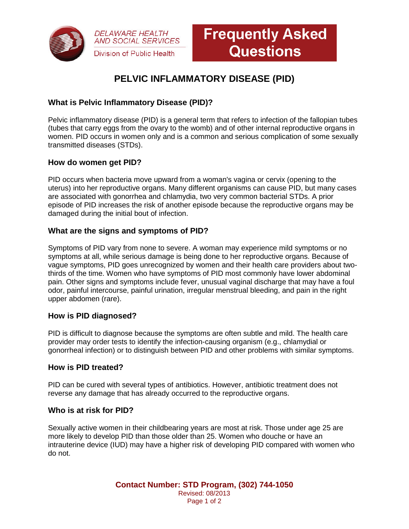



# **PELVIC INFLAMMATORY DISEASE (PID)**

## **What is Pelvic Inflammatory Disease (PID)?**

Pelvic inflammatory disease (PID) is a general term that refers to infection of the fallopian tubes (tubes that carry eggs from the ovary to the womb) and of other internal reproductive organs in women. PID occurs in women only and is a common and serious complication of some sexually transmitted diseases (STDs).

### **How do women get PID?**

PID occurs when bacteria move upward from a woman's vagina or cervix (opening to the uterus) into her reproductive organs. Many different organisms can cause PID, but many cases are associated with gonorrhea and chlamydia, two very common bacterial STDs. A prior episode of PID increases the risk of another episode because the reproductive organs may be damaged during the initial bout of infection.

## **What are the signs and symptoms of PID?**

Symptoms of PID vary from none to severe. A woman may experience mild symptoms or no symptoms at all, while serious damage is being done to her reproductive organs. Because of vague symptoms, PID goes unrecognized by women and their health care providers about twothirds of the time. Women who have symptoms of PID most commonly have lower abdominal pain. Other signs and symptoms include fever, unusual vaginal discharge that may have a foul odor, painful intercourse, painful urination, irregular menstrual bleeding, and pain in the right upper abdomen (rare).

### **How is PID diagnosed?**

PID is difficult to diagnose because the symptoms are often subtle and mild. The health care provider may order tests to identify the infection-causing organism (e.g., chlamydial or gonorrheal infection) or to distinguish between PID and other problems with similar symptoms.

### **How is PID treated?**

PID can be cured with several types of antibiotics. However, antibiotic treatment does not reverse any damage that has already occurred to the reproductive organs.

### **Who is at risk for PID?**

Sexually active women in their childbearing years are most at risk. Those under age 25 are more likely to develop PID than those older than 25. Women who douche or have an intrauterine device (IUD) may have a higher risk of developing PID compared with women who do not.

> **Contact Number: STD Program, (302) 744-1050** Revised: 08/2013 Page 1 of 2